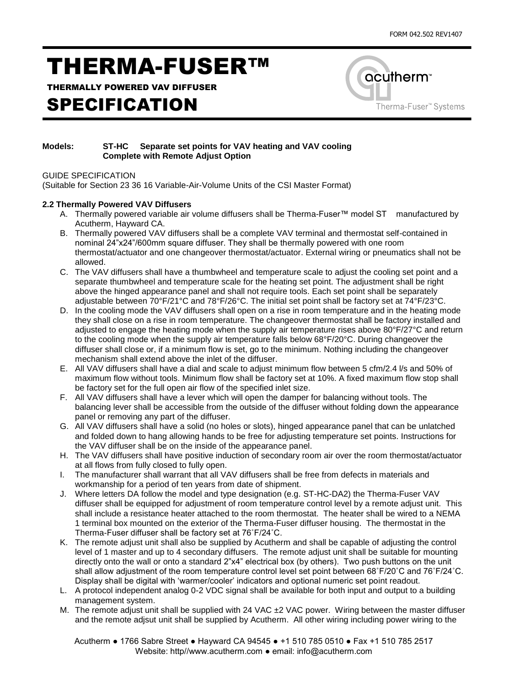# THERMA-FUSER™

THERMALLY POWERED VAV DIFFUSER

### SPECIFICATION



#### **Models: ST-HC Separate set points for VAV heating and VAV cooling Complete with Remote Adjust Option**

GUIDE SPECIFICATION

(Suitable for Section 23 36 16 Variable-Air-Volume Units of the CSI Master Format)

#### **2.2 Thermally Powered VAV Diffusers**

- A. Thermally powered variable air volume diffusers shall be Therma-Fuser™ model ST manufactured by Acutherm, Hayward CA.
- B. Thermally powered VAV diffusers shall be a complete VAV terminal and thermostat self-contained in nominal 24"x24"/600mm square diffuser. They shall be thermally powered with one room thermostat/actuator and one changeover thermostat/actuator. External wiring or pneumatics shall not be allowed.
- C. The VAV diffusers shall have a thumbwheel and temperature scale to adjust the cooling set point and a separate thumbwheel and temperature scale for the heating set point. The adjustment shall be right above the hinged appearance panel and shall not require tools. Each set point shall be separately adjustable between 70°F/21°C and 78°F/26°C. The initial set point shall be factory set at 74°F/23°C.
- D. In the cooling mode the VAV diffusers shall open on a rise in room temperature and in the heating mode they shall close on a rise in room temperature. The changeover thermostat shall be factory installed and adjusted to engage the heating mode when the supply air temperature rises above 80°F/27°C and return to the cooling mode when the supply air temperature falls below 68°F/20°C. During changeover the diffuser shall close or, if a minimum flow is set, go to the minimum. Nothing including the changeover mechanism shall extend above the inlet of the diffuser.
- E. All VAV diffusers shall have a dial and scale to adjust minimum flow between 5 cfm/2.4 l/s and 50% of maximum flow without tools. Minimum flow shall be factory set at 10%. A fixed maximum flow stop shall be factory set for the full open air flow of the specified inlet size.
- F. All VAV diffusers shall have a lever which will open the damper for balancing without tools. The balancing lever shall be accessible from the outside of the diffuser without folding down the appearance panel or removing any part of the diffuser.
- G. All VAV diffusers shall have a solid (no holes or slots), hinged appearance panel that can be unlatched and folded down to hang allowing hands to be free for adjusting temperature set points. Instructions for the VAV diffuser shall be on the inside of the appearance panel.
- H. The VAV diffusers shall have positive induction of secondary room air over the room thermostat/actuator at all flows from fully closed to fully open.
- I. The manufacturer shall warrant that all VAV diffusers shall be free from defects in materials and workmanship for a period of ten years from date of shipment.
- J. Where letters DA follow the model and type designation (e.g. ST-HC-DA2) the Therma-Fuser VAV diffuser shall be equipped for adjustment of room temperature control level by a remote adjust unit. This shall include a resistance heater attached to the room thermostat. The heater shall be wired to a NEMA 1 terminal box mounted on the exterior of the Therma-Fuser diffuser housing. The thermostat in the Therma-Fuser diffuser shall be factory set at 76˚F/24˚C.
- K. The remote adjust unit shall also be supplied by Acutherm and shall be capable of adjusting the control level of 1 master and up to 4 secondary diffusers. The remote adjust unit shall be suitable for mounting directly onto the wall or onto a standard 2"x4" electrical box (by others). Two push buttons on the unit shall allow adjustment of the room temperature control level set point between 68˚F/20˚C and 76˚F/24˚C. Display shall be digital with 'warmer/cooler' indicators and optional numeric set point readout.
- L. A protocol independent analog 0-2 VDC signal shall be available for both input and output to a building management system.
- M. The remote adjust unit shall be supplied with 24 VAC  $\pm$ 2 VAC power. Wiring between the master diffuser and the remote adjsut unit shall be supplied by Acutherm. All other wiring including power wiring to the